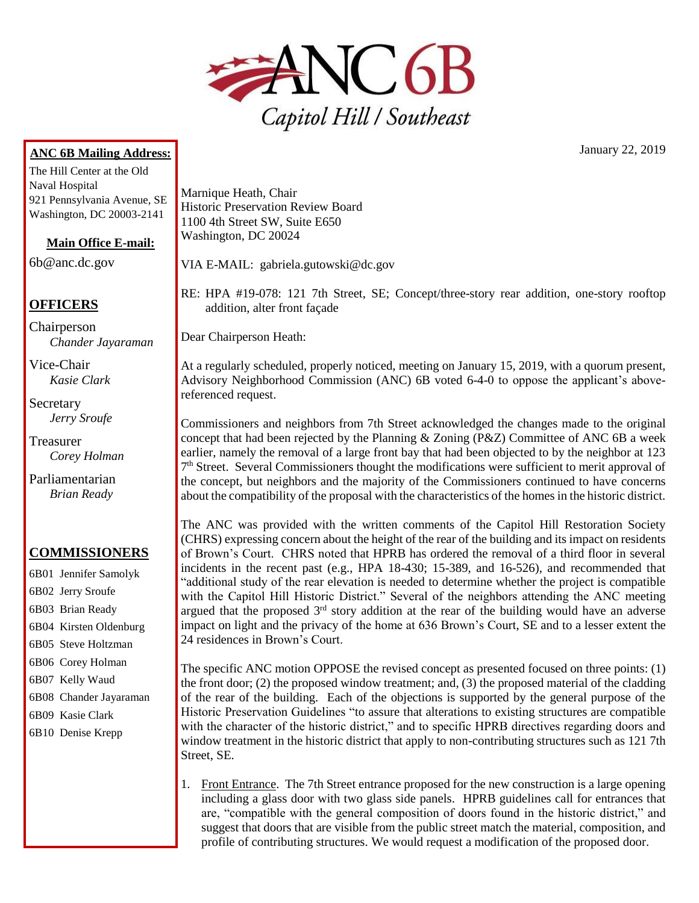

## **ANC 6B Mailing Address:**

The Hill Center at the Old Naval Hospital 921 Pennsylvania Avenue, SE Washington, DC 20003-2141

**Main Office E-mail:**

6b@anc.dc.gov

## **OFFICERS**

Chairperson *Chander Jayaraman*

Vice-Chair *Kasie Clark*

Secretary *Jerry Sroufe*

Treasurer *Corey Holman*

Parliamentarian *Brian Ready*

## **COMMISSIONERS**

- 6B01 Jennifer Samolyk 6B02 Jerry Sroufe 6B03 Brian Ready 6B04 Kirsten Oldenburg 6B05 Steve Holtzman 6B06 Corey Holman 6B07 Kelly Waud 6B08 Chander Jayaraman 6B09 Kasie Clark
- 6B10 Denise Krepp

Marnique Heath, Chair Historic Preservation Review Board 1100 4th Street SW, Suite E650 Washington, DC 20024

VIA E-MAIL: gabriela.gutowski@dc.gov

RE: HPA #19-078: 121 7th Street, SE; Concept/three-story rear addition, one-story rooftop addition, alter front façade

Dear Chairperson Heath:

At a regularly scheduled, properly noticed, meeting on January 15, 2019, with a quorum present, Advisory Neighborhood Commission (ANC) 6B voted 6-4-0 to oppose the applicant's abovereferenced request.

Commissioners and neighbors from 7th Street acknowledged the changes made to the original concept that had been rejected by the Planning & Zoning (P&Z) Committee of ANC 6B a week earlier, namely the removal of a large front bay that had been objected to by the neighbor at 123 7<sup>th</sup> Street. Several Commissioners thought the modifications were sufficient to merit approval of the concept, but neighbors and the majority of the Commissioners continued to have concerns about the compatibility of the proposal with the characteristics of the homes in the historic district.

The ANC was provided with the written comments of the Capitol Hill Restoration Society (CHRS) expressing concern about the height of the rear of the building and its impact on residents of Brown's Court. CHRS noted that HPRB has ordered the removal of a third floor in several incidents in the recent past (e.g., HPA  $18-430$ ; 15-389, and  $16-526$ ), and recommended that "additional study of the rear elevation is needed to determine whether the project is compatible with the Capitol Hill Historic District." Several of the neighbors attending the ANC meeting argued that the proposed  $3<sup>rd</sup>$  story addition at the rear of the building would have an adverse impact on light and the privacy of the home at 636 Brown's Court, SE and to a lesser extent the 24 residences in Brown's Court.

The specific ANC motion OPPOSE the revised concept as presented focused on three points: (1) the front door; (2) the proposed window treatment; and, (3) the proposed material of the cladding of the rear of the building. Each of the objections is supported by the general purpose of the Historic Preservation Guidelines "to assure that alterations to existing structures are compatible with the character of the historic district," and to specific HPRB directives regarding doors and window treatment in the historic district that apply to non-contributing structures such as 121 7th Street, SE.

1. Front Entrance. The 7th Street entrance proposed for the new construction is a large opening including a glass door with two glass side panels. HPRB guidelines call for entrances that are, "compatible with the general composition of doors found in the historic district," and suggest that doors that are visible from the public street match the material, composition, and profile of contributing structures. We would request a modification of the proposed door.

January 22, 2019